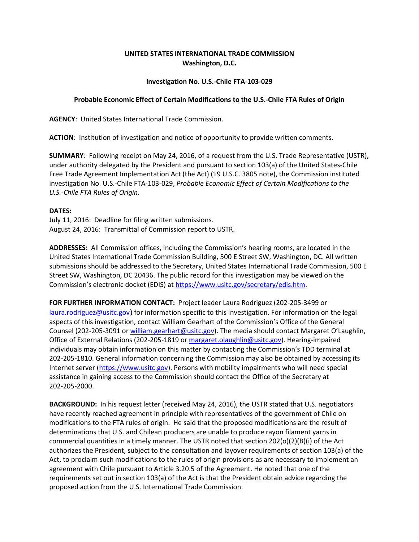## **UNITED STATES INTERNATIONAL TRADE COMMISSION Washington, D.C.**

## **Investigation No. U.S.-Chile FTA-103-029**

## **Probable Economic Effect of Certain Modifications to the U.S.-Chile FTA Rules of Origin**

**AGENCY**: United States International Trade Commission.

**ACTION**: Institution of investigation and notice of opportunity to provide written comments.

**SUMMARY**: Following receipt on May 24, 2016, of a request from the U.S. Trade Representative (USTR), under authority delegated by the President and pursuant to section 103(a) of the United States-Chile Free Trade Agreement Implementation Act (the Act) (19 U.S.C. 3805 note), the Commission instituted investigation No. U.S.-Chile FTA-103-029, *Probable Economic Effect of Certain Modifications to the U.S.-Chile FTA Rules of Origin*.

## **DATES:**

July 11, 2016: Deadline for filing written submissions. August 24, 2016: Transmittal of Commission report to USTR.

**ADDRESSES:** All Commission offices, including the Commission's hearing rooms, are located in the United States International Trade Commission Building, 500 E Street SW, Washington, DC. All written submissions should be addressed to the Secretary, United States International Trade Commission, 500 E Street SW, Washington, DC 20436. The public record for this investigation may be viewed on the Commission's electronic docket (EDIS) at https://www.usitc.gov/secretary/edis.htm.

**FOR FURTHER INFORMATION CONTACT:** Project leader Laura Rodriguez (202-205-3499 or laura.rodriguez@usitc.gov) for information specific to this investigation. For information on the legal aspects of this investigation, contact William Gearhart of the Commission's Office of the General Counsel (202-205-3091 o[r william.gearhart@usitc.gov\)](mailto:william.gearhart@usitc.gov). The media should contact Margaret O'Laughlin, Office of External Relations (202-205-1819 or margaret.olaughlin@usitc.gov). Hearing-impaired individuals may obtain information on this matter by contacting the Commission's TDD terminal at 202-205-1810. General information concerning the Commission may also be obtained by accessing its Internet server [\(https://www.usitc.gov\)](https://www.usitc.gov/). Persons with mobility impairments who will need special assistance in gaining access to the Commission should contact the Office of the Secretary at 202-205-2000.

**BACKGROUND:** In his request letter (received May 24, 2016), the USTR stated that U.S. negotiators have recently reached agreement in principle with representatives of the government of Chile on modifications to the FTA rules of origin. He said that the proposed modifications are the result of determinations that U.S. and Chilean producers are unable to produce rayon filament yarns in commercial quantities in a timely manner. The USTR noted that section 202(o)(2)(B)(i) of the Act authorizes the President, subject to the consultation and layover requirements of section 103(a) of the Act, to proclaim such modifications to the rules of origin provisions as are necessary to implement an agreement with Chile pursuant to Article 3.20.5 of the Agreement. He noted that one of the requirements set out in section 103(a) of the Act is that the President obtain advice regarding the proposed action from the U.S. International Trade Commission.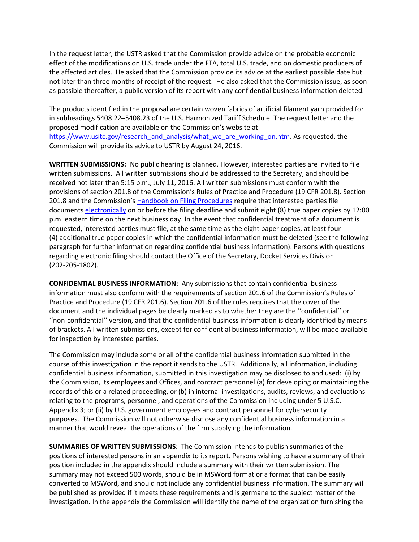In the request letter, the USTR asked that the Commission provide advice on the probable economic effect of the modifications on U.S. trade under the FTA, total U.S. trade, and on domestic producers of the affected articles. He asked that the Commission provide its advice at the earliest possible date but not later than three months of receipt of the request. He also asked that the Commission issue, as soon as possible thereafter, a public version of its report with any confidential business information deleted.

The products identified in the proposal are certain woven fabrics of artificial filament yarn provided for in subheadings 5408.22–5408.23 of the U.S. Harmonized Tariff Schedule. The request letter and the proposed modification are available on the Commission's website at [https://www.usitc.gov/research\\_and\\_analysis/what\\_we\\_are\\_working\\_on.htm.](https://www.usitc.gov/research_and_analysis/what_we_are_working_on.htm) As requested, the Commission will provide its advice to USTR by August 24, 2016.

**WRITTEN SUBMISSIONS:** No public hearing is planned. However, interested parties are invited to file written submissions. All written submissions should be addressed to the Secretary, and should be received not later than 5:15 p.m., July 11, 2016. All written submissions must conform with the provisions of section 201.8 of the Commission's Rules of Practice and Procedure (19 CFR 201.8). Section 201.8 and the Commission's [Handbook on Filing Procedures](http://www.usitc.gov/secretary/documents/handbook_on_filing_procedures.pdf) require that interested parties file document[s electronically](https://edis.usitc.gov/) on or before the filing deadline and submit eight (8) true paper copies by 12:00 p.m. eastern time on the next business day. In the event that confidential treatment of a document is requested, interested parties must file, at the same time as the eight paper copies, at least four (4) additional true paper copies in which the confidential information must be deleted (see the following paragraph for further information regarding confidential business information). Persons with questions regarding electronic filing should contact the Office of the Secretary, Docket Services Division (202-205-1802).

**CONFIDENTIAL BUSINESS INFORMATION:** Any submissions that contain confidential business information must also conform with the requirements of section 201.6 of the Commission's Rules of Practice and Procedure (19 CFR 201.6). Section 201.6 of the rules requires that the cover of the document and the individual pages be clearly marked as to whether they are the ''confidential'' or ''non-confidential'' version, and that the confidential business information is clearly identified by means of brackets. All written submissions, except for confidential business information, will be made available for inspection by interested parties.

The Commission may include some or all of the confidential business information submitted in the course of this investigation in the report it sends to the USTR. Additionally, all information, including confidential business information, submitted in this investigation may be disclosed to and used: (i) by the Commission, its employees and Offices, and contract personnel (a) for developing or maintaining the records of this or a related proceeding, or (b) in internal investigations, audits, reviews, and evaluations relating to the programs, personnel, and operations of the Commission including under 5 U.S.C. Appendix 3; or (ii) by U.S. government employees and contract personnel for cybersecurity purposes. The Commission will not otherwise disclose any confidential business information in a manner that would reveal the operations of the firm supplying the information.

**SUMMARIES OF WRITTEN SUBMISSIONS**: The Commission intends to publish summaries of the positions of interested persons in an appendix to its report. Persons wishing to have a summary of their position included in the appendix should include a summary with their written submission. The summary may not exceed 500 words, should be in MSWord format or a format that can be easily converted to MSWord, and should not include any confidential business information. The summary will be published as provided if it meets these requirements and is germane to the subject matter of the investigation. In the appendix the Commission will identify the name of the organization furnishing the